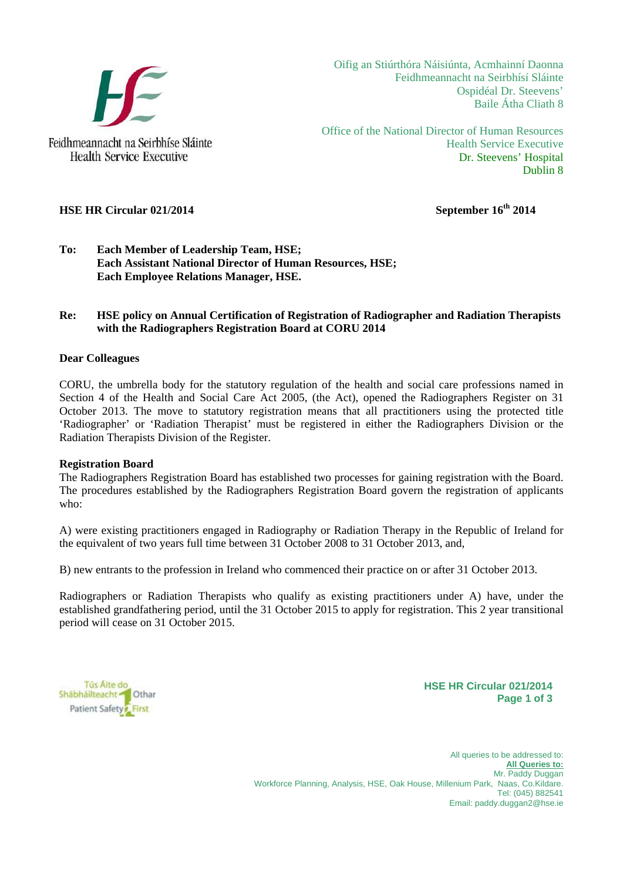

Oifig an Stiúrthóra Náisiúnta, Acmhainní Daonna Feidhmeannacht na Seirbhísí Sláinte Ospidéal Dr. Steevens' Baile Átha Cliath 8

Office of the National Director of Human Resources Health Service Executive Dr. Steevens' Hospital Dublin 8

# **HSE HR Circular 021/2014** September 16<sup>th</sup> 2014

**Health Service Executive** 

#### **To: Each Member of Leadership Team, HSE; Each Assistant National Director of Human Resources, HSE; Each Employee Relations Manager, HSE.**

#### **Re: HSE policy on Annual Certification of Registration of Radiographer and Radiation Therapists with the Radiographers Registration Board at CORU 2014**

#### **Dear Colleagues**

CORU, the umbrella body for the statutory regulation of the health and social care professions named in Section 4 of the Health and Social Care Act 2005, (the Act), opened the Radiographers Register on 31 October 2013. The move to statutory registration means that all practitioners using the protected title 'Radiographer' or 'Radiation Therapist' must be registered in either the Radiographers Division or the Radiation Therapists Division of the Register.

#### **Registration Board**

The Radiographers Registration Board has established two processes for gaining registration with the Board. The procedures established by the Radiographers Registration Board govern the registration of applicants who:

A) were existing practitioners engaged in Radiography or Radiation Therapy in the Republic of Ireland for the equivalent of two years full time between 31 October 2008 to 31 October 2013, and,

B) new entrants to the profession in Ireland who commenced their practice on or after 31 October 2013.

Radiographers or Radiation Therapists who qualify as existing practitioners under A) have, under the established grandfathering period, until the 31 October 2015 to apply for registration. This 2 year transitional period will cease on 31 October 2015.

Tús Aite do Shábháilteacht <sup>1</sup> Othar Patient Safety First

**HSE HR Circular 021/2014 Page 1 of 3**

All queries to be addressed to: **All Queries to:** Mr. Paddy Duggan Workforce Planning, Analysis, HSE, Oak House, Millenium Park, Naas, Co.Kildare. Tel: (045) 882541 Email: paddy.duggan2@hse.ie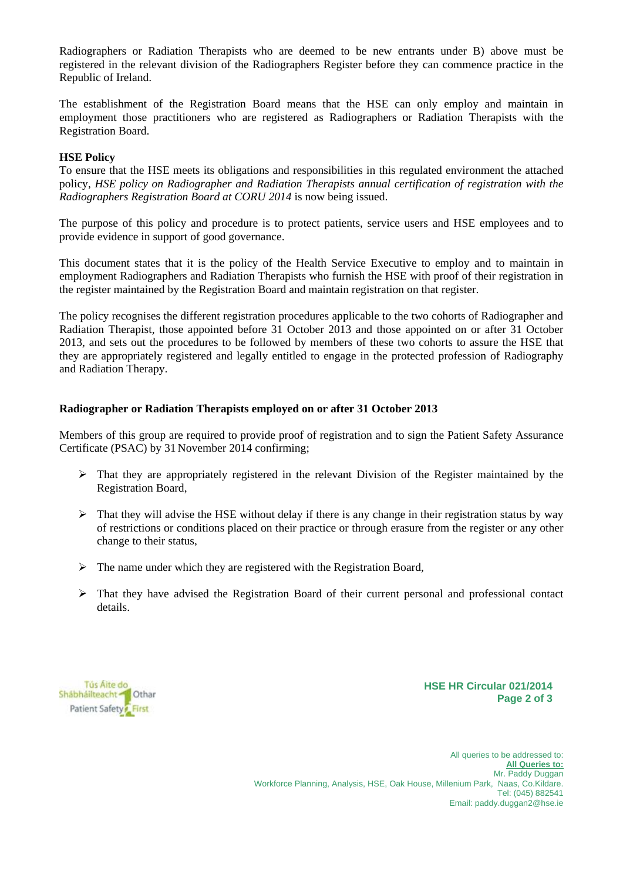Radiographers or Radiation Therapists who are deemed to be new entrants under B) above must be registered in the relevant division of the Radiographers Register before they can commence practice in the Republic of Ireland.

The establishment of the Registration Board means that the HSE can only employ and maintain in employment those practitioners who are registered as Radiographers or Radiation Therapists with the Registration Board.

#### **HSE Policy**

To ensure that the HSE meets its obligations and responsibilities in this regulated environment the attached policy, *HSE policy on Radiographer and Radiation Therapists annual certification of registration with the Radiographers Registration Board at CORU 2014* is now being issued.

The purpose of this policy and procedure is to protect patients, service users and HSE employees and to provide evidence in support of good governance.

This document states that it is the policy of the Health Service Executive to employ and to maintain in employment Radiographers and Radiation Therapists who furnish the HSE with proof of their registration in the register maintained by the Registration Board and maintain registration on that register.

The policy recognises the different registration procedures applicable to the two cohorts of Radiographer and Radiation Therapist, those appointed before 31 October 2013 and those appointed on or after 31 October 2013, and sets out the procedures to be followed by members of these two cohorts to assure the HSE that they are appropriately registered and legally entitled to engage in the protected profession of Radiography and Radiation Therapy.

#### **Radiographer or Radiation Therapists employed on or after 31 October 2013**

Members of this group are required to provide proof of registration and to sign the Patient Safety Assurance Certificate (PSAC) by 31 November 2014 confirming;

- $\triangleright$  That they are appropriately registered in the relevant Division of the Register maintained by the Registration Board,
- $\triangleright$  That they will advise the HSE without delay if there is any change in their registration status by way of restrictions or conditions placed on their practice or through erasure from the register or any other change to their status,
- $\triangleright$  The name under which they are registered with the Registration Board,
- $\triangleright$  That they have advised the Registration Board of their current personal and professional contact details.

Tús Aite do Shábháilteacht <sup>1</sup> Othar Patient Safety First

**HSE HR Circular 021/2014 Page 2 of 3**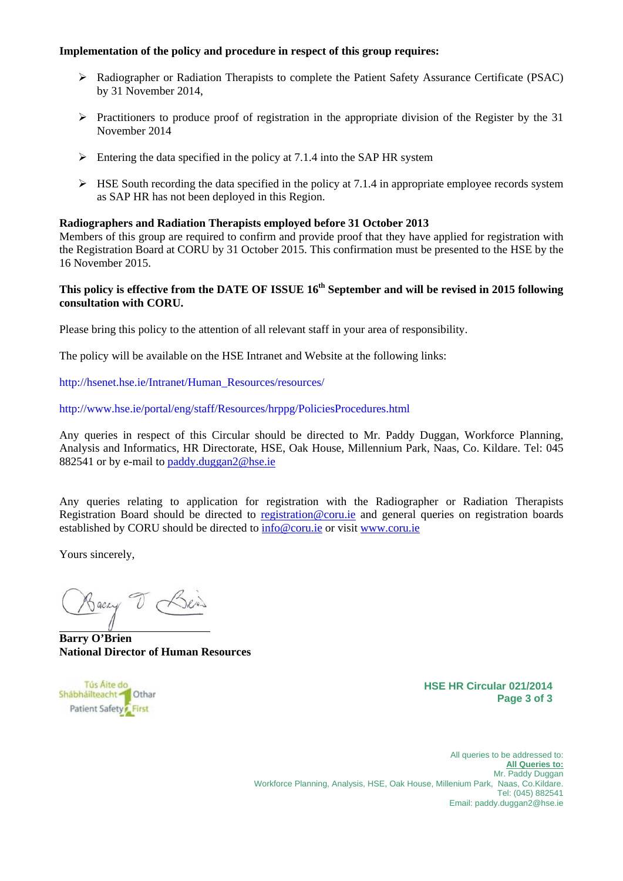## **Implementation of the policy and procedure in respect of this group requires:**

- Radiographer or Radiation Therapists to complete the Patient Safety Assurance Certificate (PSAC) by 31 November 2014,
- $\triangleright$  Practitioners to produce proof of registration in the appropriate division of the Register by the 31 November 2014
- $\triangleright$  Entering the data specified in the policy at 7.1.4 into the SAP HR system
- $\triangleright$  HSE South recording the data specified in the policy at 7.1.4 in appropriate employee records system as SAP HR has not been deployed in this Region.

#### **Radiographers and Radiation Therapists employed before 31 October 2013**

Members of this group are required to confirm and provide proof that they have applied for registration with the Registration Board at CORU by 31 October 2015. This confirmation must be presented to the HSE by the 16 November 2015.

# **This policy is effective from the DATE OF ISSUE 16th September and will be revised in 2015 following consultation with CORU.**

Please bring this policy to the attention of all relevant staff in your area of responsibility.

The policy will be available on the HSE Intranet and Website at the following links:

http://hsenet.hse.ie/Intranet/Human\_Resources/resources/

http://www.hse.ie/portal/eng/staff/Resources/hrppg/PoliciesProcedures.html

Any queries in respect of this Circular should be directed to Mr. Paddy Duggan, Workforce Planning, Analysis and Informatics, HR Directorate, HSE, Oak House, Millennium Park, Naas, Co. Kildare. Tel: 045 882541 or by e-mail to paddy.duggan2@hse.ie

Any queries relating to application for registration with the Radiographer or Radiation Therapists Registration Board should be directed to registration@coru.ie and general queries on registration boards established by CORU should be directed to info@coru.ie or visit www.coru.ie

Yours sincerely,

Backy T Bein

**Barry O'Brien National Director of Human Resources** 



**HSE HR Circular 021/2014 Page 3 of 3**

All queries to be addressed to: **All Queries to:** Mr. Paddy Duggan Workforce Planning, Analysis, HSE, Oak House, Millenium Park, Naas, Co.Kildare. Tel: (045) 882541 Email: paddy.duggan2@hse.ie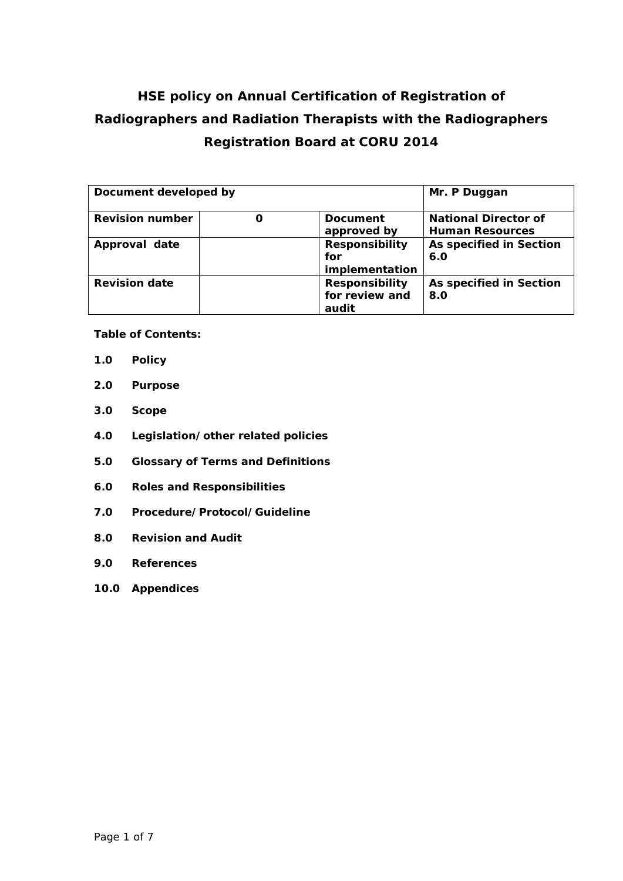# **HSE policy on Annual Certification of Registration of Radiographers and Radiation Therapists with the Radiographers Registration Board at CORU 2014**

| Document developed by  |                       | Mr. P Duggan                |
|------------------------|-----------------------|-----------------------------|
| <b>Revision number</b> | Document              | <b>National Director of</b> |
|                        | approved by           | <b>Human Resources</b>      |
| Approval date          | <b>Responsibility</b> | As specified in Section     |
|                        | for                   | 6.0                         |
|                        | implementation        |                             |
| <b>Revision date</b>   | <b>Responsibility</b> | As specified in Section     |
|                        | for review and        | 8.0                         |
|                        | audit                 |                             |

**Table of Contents:** 

- **1.0 Policy**
- **2.0 Purpose**
- **3.0 Scope**
- **4.0 Legislation/other related policies**
- **5.0 Glossary of Terms and Definitions**
- **6.0 Roles and Responsibilities**
- **7.0 Procedure/Protocol/Guideline**
- **8.0 Revision and Audit**
- **9.0 References**
- **10.0 Appendices**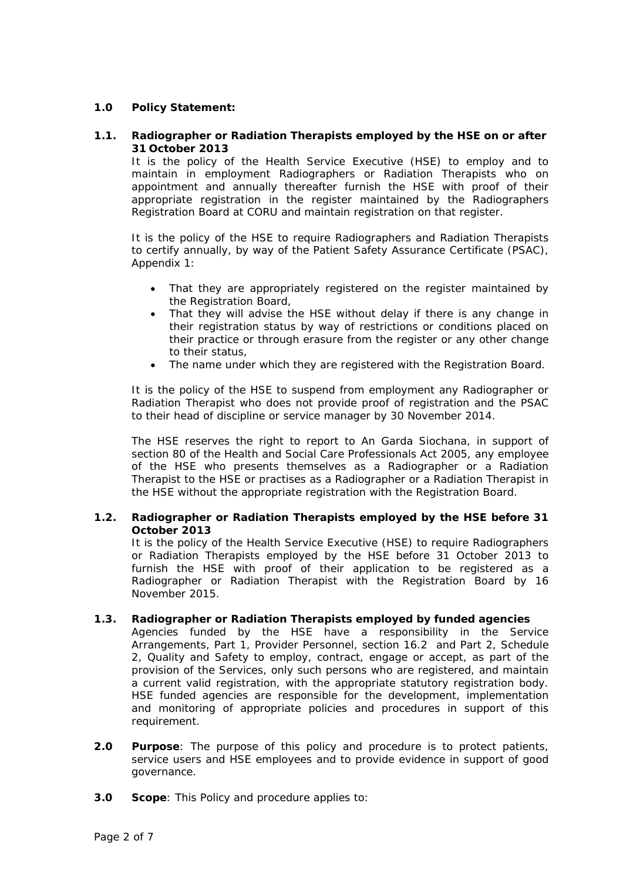# **1.0 Policy Statement:**

#### **1.1. Radiographer or Radiation Therapists employed by the HSE on or after 31 October 2013**

It is the policy of the Health Service Executive (HSE) to employ and to maintain in employment Radiographers or Radiation Therapists who on appointment and annually thereafter furnish the HSE with proof of their appropriate registration in the register maintained by the Radiographers Registration Board at CORU and maintain registration on that register.

It is the policy of the HSE to require Radiographers and Radiation Therapists to certify annually, by way of the Patient Safety Assurance Certificate (PSAC), Appendix 1:

- That they are appropriately registered on the register maintained by the Registration Board,
- That they will advise the HSE without delay if there is any change in their registration status by way of restrictions or conditions placed on their practice or through erasure from the register or any other change to their status,
- The name under which they are registered with the Registration Board.

It is the policy of the HSE to suspend from employment any Radiographer or Radiation Therapist who does not provide proof of registration and the PSAC to their head of discipline or service manager by 30 November 2014.

The HSE reserves the right to report to An Garda Siochana, in support of section 80 of the Health and Social Care Professionals Act 2005, any employee of the HSE who presents themselves as a Radiographer or a Radiation Therapist to the HSE or practises as a Radiographer or a Radiation Therapist in the HSE without the appropriate registration with the Registration Board.

# **1.2. Radiographer or Radiation Therapists employed by the HSE before 31 October 2013**

It is the policy of the Health Service Executive (HSE) to require Radiographers or Radiation Therapists employed by the HSE before 31 October 2013 to furnish the HSE with proof of their application to be registered as a Radiographer or Radiation Therapist with the Registration Board by 16 November 2015.

#### **1.3. Radiographer or Radiation Therapists employed by funded agencies**

Agencies funded by the HSE have a responsibility in the Service Arrangements, *Part 1, Provider Personnel, section 16.2 and Part 2, Schedule 2, Quality and Safety to* employ, contract, engage or accept, as part of the provision of the Services, only such persons who are registered, and maintain a current valid registration, with the appropriate statutory registration body. HSE funded agencies are responsible for the development, implementation and monitoring of appropriate policies and procedures in support of this requirement.

- **2.0 Purpose**: The purpose of this policy and procedure is to protect patients, service users and HSE employees and to provide evidence in support of good governance.
- **3.0 Scope**: This Policy and procedure applies to: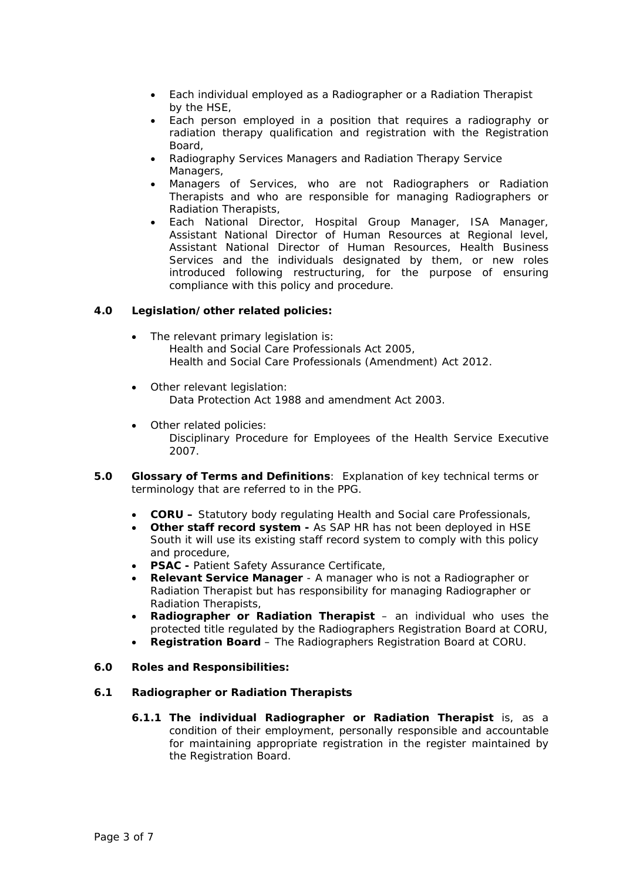- Each individual employed as a Radiographer or a Radiation Therapist by the HSE,
- Each person employed in a position that requires a radiography or radiation therapy qualification and registration with the Registration Board,
- Radiography Services Managers and Radiation Therapy Service Managers,
- Managers of Services, who are not Radiographers or Radiation Therapists and who are responsible for managing Radiographers or Radiation Therapists,
- Each National Director, Hospital Group Manager, ISA Manager, Assistant National Director of Human Resources at Regional level, Assistant National Director of Human Resources, Health Business Services and the individuals designated by them, or new roles introduced following restructuring, for the purpose of ensuring compliance with this policy and procedure.

# **4.0 Legislation/other related policies:**

- The relevant primary legislation is: Health and Social Care Professionals Act 2005, Health and Social Care Professionals (Amendment) Act 2012.
- Other relevant legislation: Data Protection Act 1988 and amendment Act 2003.
- Other related policies: Disciplinary Procedure for Employees of the Health Service Executive 2007.
- **5.0 Glossary of Terms and Definitions**: Explanation of key technical terms or terminology that are referred to in the PPG.
	- **CORU** Statutory body regulating Health and Social care Professionals,
	- **Other staff record system** As SAP HR has not been deployed in HSE South it will use its existing staff record system to comply with this policy and procedure,
	- **PSAC** Patient Safety Assurance Certificate,
	- **Relevant Service Manager** A manager who is not a Radiographer or Radiation Therapist but has responsibility for managing Radiographer or Radiation Therapists,
	- **Radiographer or Radiation Therapist** an individual who uses the protected title regulated by the Radiographers Registration Board at CORU,
	- **Registration Board**  The Radiographers Registration Board at CORU.
- **6.0 Roles and Responsibilities:**

# **6.1 Radiographer or Radiation Therapists**

**6.1.1 The individual Radiographer or Radiation Therapist** is, as a condition of their employment, personally responsible and accountable for maintaining appropriate registration in the register maintained by the Registration Board.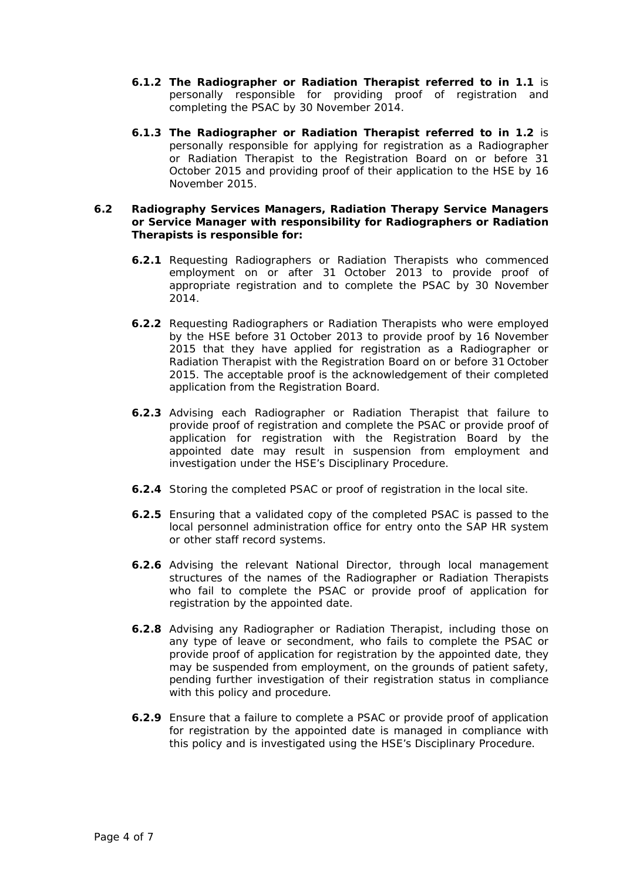- **6.1.2 The Radiographer or Radiation Therapist referred to in 1.1** is personally responsible for providing proof of registration and completing the PSAC by 30 November 2014.
- **6.1.3 The Radiographer or Radiation Therapist referred to in 1.2** is personally responsible for applying for registration as a Radiographer or Radiation Therapist to the Registration Board on or before 31 October 2015 and providing proof of their application to the HSE by 16 November 2015.

#### **6.2 Radiography Services Managers, Radiation Therapy Service Managers or Service Manager with responsibility for Radiographers or Radiation Therapists is responsible for:**

- **6.2.1** Requesting Radiographers or Radiation Therapists who commenced employment on or after 31 October 2013 to provide proof of appropriate registration and to complete the PSAC by 30 November 2014.
- **6.2.2** Requesting Radiographers or Radiation Therapists who were employed by the HSE before 31 October 2013 to provide proof by 16 November 2015 that they have applied for registration as a Radiographer or Radiation Therapist with the Registration Board on or before 31 October 2015. The acceptable proof is the acknowledgement of their completed application from the Registration Board.
- **6.2.3** Advising each Radiographer or Radiation Therapist that failure to provide proof of registration and complete the PSAC or provide proof of application for registration with the Registration Board by the appointed date may result in suspension from employment and investigation under the HSE's Disciplinary Procedure.
- **6.2.4** Storing the completed PSAC or proof of registration in the local site.
- **6.2.5** Ensuring that a validated copy of the completed PSAC is passed to the local personnel administration office for entry onto the SAP HR system or other staff record systems.
- **6.2.6** Advising the relevant National Director, through local management structures of the names of the Radiographer or Radiation Therapists who fail to complete the PSAC or provide proof of application for registration by the appointed date.
- **6.2.8** Advising any Radiographer or Radiation Therapist, including those on any type of leave or secondment, who fails to complete the PSAC or provide proof of application for registration by the appointed date, they may be suspended from employment, on the grounds of patient safety, pending further investigation of their registration status in compliance with this policy and procedure.
- **6.2.9** Ensure that a failure to complete a PSAC or provide proof of application for registration by the appointed date is managed in compliance with this policy and is investigated using the HSE's Disciplinary Procedure.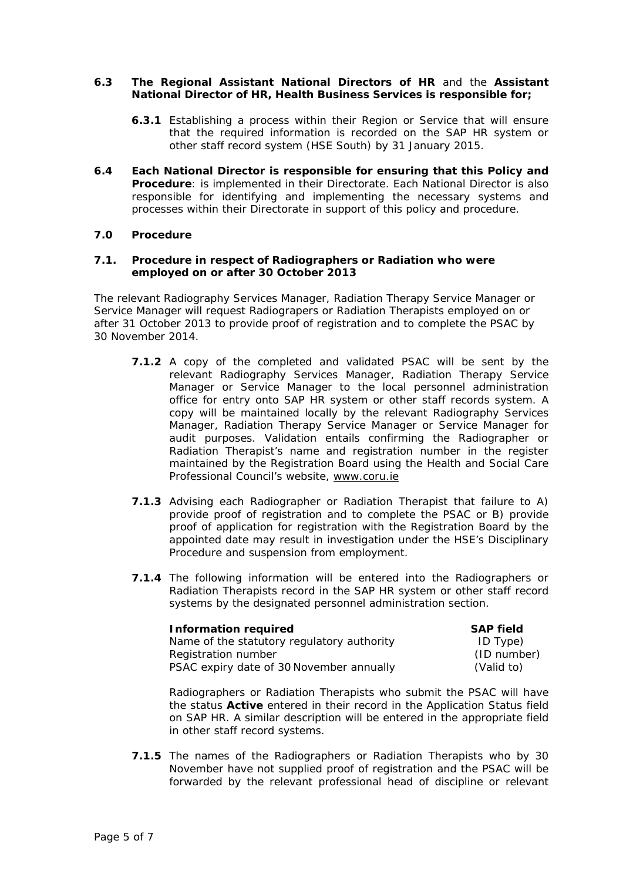#### **6.3 The Regional Assistant National Directors of HR** and the **Assistant National Director of HR, Health Business Services is responsible for;**

- **6.3.1** Establishing a process within their Region or Service that will ensure that the required information is recorded on the SAP HR system or other staff record system (HSE South) by 31 January 2015.
- **6.4 Each National Director is responsible for ensuring that this Policy and Procedure**: is implemented in their Directorate. Each National Director is also responsible for identifying and implementing the necessary systems and processes within their Directorate in support of this policy and procedure.

# **7.0 Procedure**

#### **7.1. Procedure in respect of Radiographers or Radiation who were employed on or after 30 October 2013**

The relevant Radiography Services Manager, Radiation Therapy Service Manager or Service Manager will request Radiograpers or Radiation Therapists employed on or after 31 October 2013 to provide proof of registration and to complete the PSAC by 30 November 2014.

- **7.1.2** A copy of the completed and validated PSAC will be sent by the relevant Radiography Services Manager, Radiation Therapy Service Manager or Service Manager to the local personnel administration office for entry onto SAP HR system or other staff records system. A copy will be maintained locally by the relevant Radiography Services Manager, Radiation Therapy Service Manager or Service Manager for audit purposes. Validation entails confirming the Radiographer or Radiation Therapist's name and registration number in the register maintained by the Registration Board using the Health and Social Care Professional Council's website, [www.coru.ie](http://www.coru.ie/)
- **7.1.3** Advising each Radiographer or Radiation Therapist that failure to A) provide proof of registration and to complete the PSAC or B) provide proof of application for registration with the Registration Board by the appointed date may result in investigation under the HSE's Disciplinary Procedure and suspension from employment.
- **7.1.4** The following information will be entered into the Radiographers or Radiation Therapists record in the SAP HR system or other staff record systems by the designated personnel administration section.

| Information required                       | <b>SAP field</b> |
|--------------------------------------------|------------------|
| Name of the statutory regulatory authority | ID Type)         |
| Registration number                        | (ID number)      |
| PSAC expiry date of 30 November annually   | (Valid to)       |

Radiographers or Radiation Therapists who submit the PSAC will have the status *Active* entered in their record in the *Application Status* field on SAP HR. A similar description will be entered in the appropriate field in other staff record systems.

**7.1.5** The names of the Radiographers or Radiation Therapists who by 30 November have not supplied proof of registration and the PSAC will be forwarded by the relevant professional head of discipline or relevant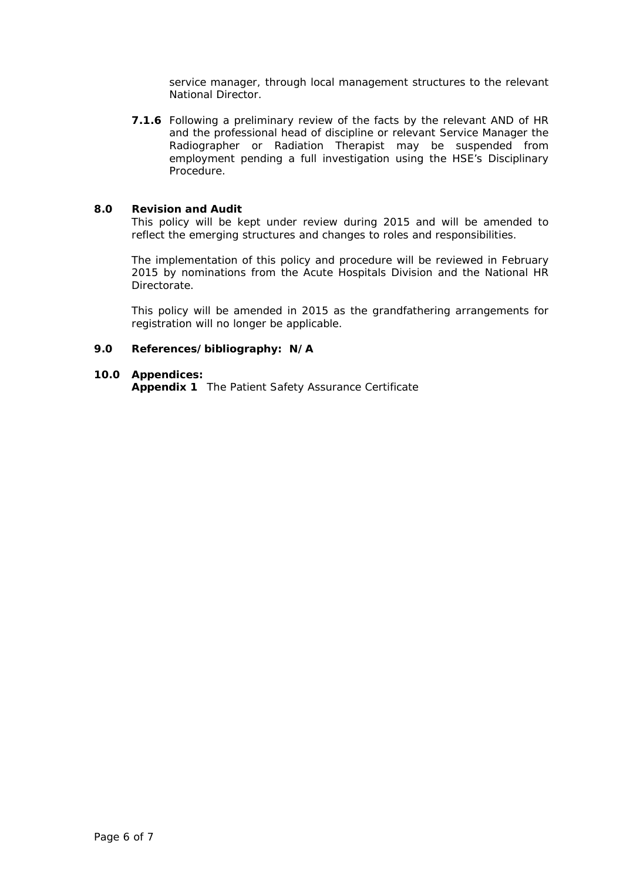service manager, through local management structures to the relevant National Director.

**7.1.6** Following a preliminary review of the facts by the relevant AND of HR and the professional head of discipline or relevant Service Manager the Radiographer or Radiation Therapist may be suspended from employment pending a full investigation using the HSE's Disciplinary Procedure.

#### **8.0 Revision and Audit**

This policy will be kept under review during 2015 and will be amended to reflect the emerging structures and changes to roles and responsibilities.

The implementation of this policy and procedure will be reviewed in February 2015 by nominations from the Acute Hospitals Division and the National HR **Directorate** 

This policy will be amended in 2015 as the grandfathering arrangements for registration will no longer be applicable.

# **9.0 References/bibliography: N/A**

#### **10.0 Appendices:**

**Appendix 1** The Patient Safety Assurance Certificate